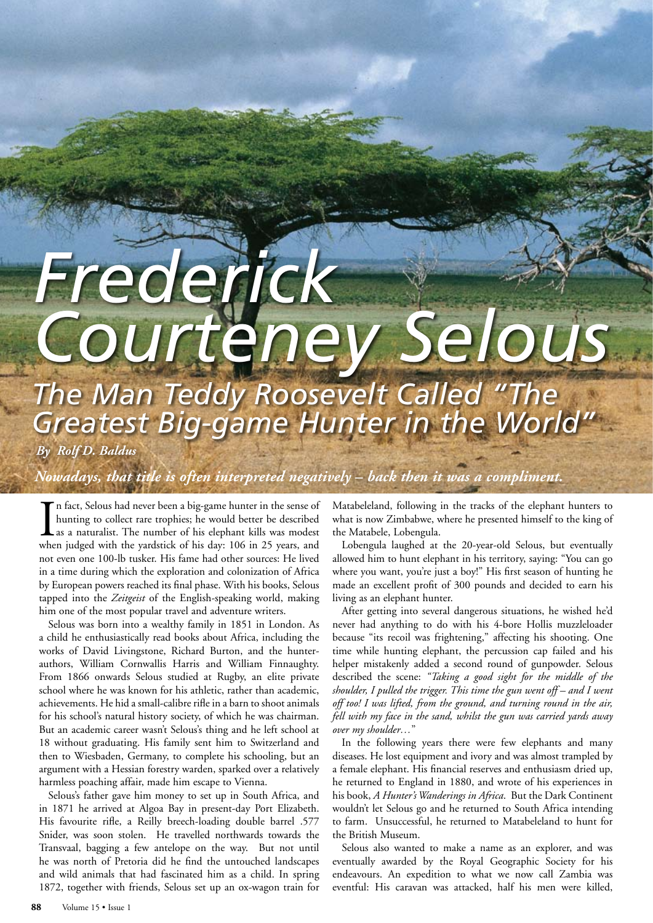## *Frederick Courteney Selous The Man Teddy Roosevelt Called "The*

*Greatest Big-game Hunter in the World"*

*By Rolf D. Baldus*

*Nowadays, that title is often interpreted negatively – back then it was a compliment.* 

In fact, Selous had never been a big-game hunter in the sense of hunting to collect rare trophies; he would better be described as a naturalist. The number of his elephant kills was modest when judged with the yardstick of n fact, Selous had never been a big-game hunter in the sense of hunting to collect rare trophies; he would better be described as a naturalist. The number of his elephant kills was modest not even one 100-lb tusker. His fame had other sources: He lived in a time during which the exploration and colonization of Africa by European powers reached its final phase. With his books, Selous tapped into the *Zeitgeist* of the English-speaking world, making him one of the most popular travel and adventure writers.

Selous was born into a wealthy family in 1851 in London. As a child he enthusiastically read books about Africa, including the works of David Livingstone, Richard Burton, and the hunterauthors, William Cornwallis Harris and William Finnaughty. From 1866 onwards Selous studied at Rugby, an elite private school where he was known for his athletic, rather than academic, achievements. He hid a small-calibre rifle in a barn to shoot animals for his school's natural history society, of which he was chairman. But an academic career wasn't Selous's thing and he left school at 18 without graduating. His family sent him to Switzerland and then to Wiesbaden, Germany, to complete his schooling, but an argument with a Hessian forestry warden, sparked over a relatively harmless poaching affair, made him escape to Vienna.

Selous's father gave him money to set up in South Africa, and in 1871 he arrived at Algoa Bay in present-day Port Elizabeth. His favourite rifle, a Reilly breech-loading double barrel .577 Snider, was soon stolen. He travelled northwards towards the Transvaal, bagging a few antelope on the way. But not until he was north of Pretoria did he find the untouched landscapes and wild animals that had fascinated him as a child. In spring 1872, together with friends, Selous set up an ox-wagon train for Matabeleland, following in the tracks of the elephant hunters to what is now Zimbabwe, where he presented himself to the king of the Matabele, Lobengula.

Lobengula laughed at the 20-year-old Selous, but eventually allowed him to hunt elephant in his territory, saying: "You can go where you want, you're just a boy!" His first season of hunting he made an excellent profit of 300 pounds and decided to earn his living as an elephant hunter.

After getting into several dangerous situations, he wished he'd never had anything to do with his 4-bore Hollis muzzleloader because "its recoil was frightening," affecting his shooting. One time while hunting elephant, the percussion cap failed and his helper mistakenly added a second round of gunpowder. Selous described the scene: *"Taking a good sight for the middle of the shoulder, I pulled the trigger. This time the gun went off – and I went off too! I was lifted, from the ground, and turning round in the air, fell with my face in the sand, whilst the gun was carried yards away over my shoulder…*"

In the following years there were few elephants and many diseases. He lost equipment and ivory and was almost trampled by a female elephant. His financial reserves and enthusiasm dried up, he returned to England in 1880, and wrote of his experiences in his book, *A Hunter's Wanderings in Africa*. But the Dark Continent wouldn't let Selous go and he returned to South Africa intending to farm. Unsuccessful, he returned to Matabeleland to hunt for the British Museum.

Selous also wanted to make a name as an explorer, and was eventually awarded by the Royal Geographic Society for his endeavours. An expedition to what we now call Zambia was eventful: His caravan was attacked, half his men were killed,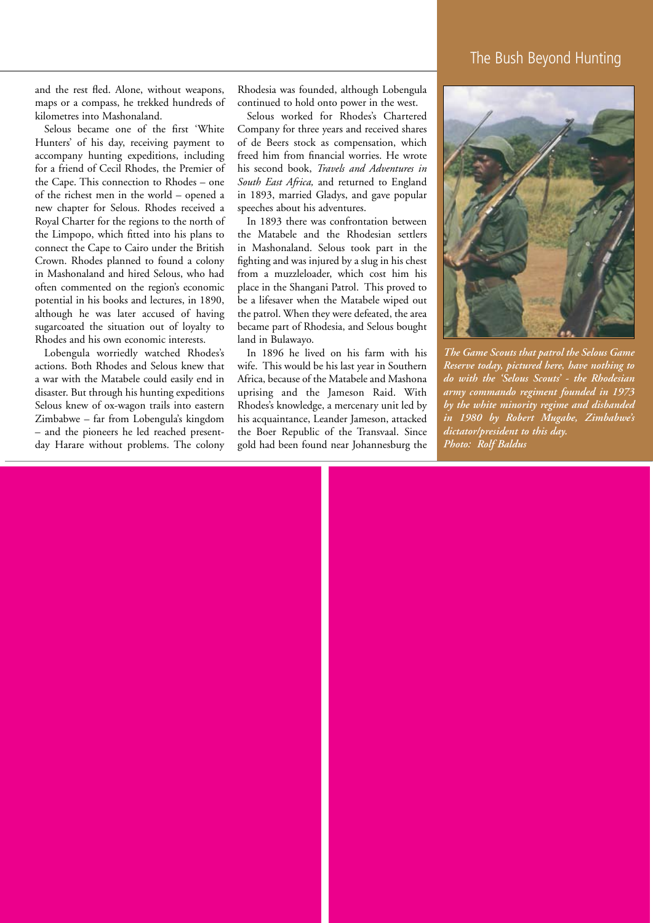## The Bush Beyond Hunting

and the rest fled. Alone, without weapons, maps or a compass, he trekked hundreds of kilometres into Mashonaland.

Selous became one of the first 'White Hunters' of his day, receiving payment to accompany hunting expeditions, including for a friend of Cecil Rhodes, the Premier of the Cape. This connection to Rhodes – one of the richest men in the world – opened a new chapter for Selous. Rhodes received a Royal Charter for the regions to the north of the Limpopo, which fitted into his plans to connect the Cape to Cairo under the British Crown. Rhodes planned to found a colony in Mashonaland and hired Selous, who had often commented on the region's economic potential in his books and lectures, in 1890, although he was later accused of having sugarcoated the situation out of loyalty to Rhodes and his own economic interests.

Lobengula worriedly watched Rhodes's actions. Both Rhodes and Selous knew that a war with the Matabele could easily end in disaster. But through his hunting expeditions Selous knew of ox-wagon trails into eastern Zimbabwe – far from Lobengula's kingdom – and the pioneers he led reached presentday Harare without problems. The colony Rhodesia was founded, although Lobengula continued to hold onto power in the west.

Selous worked for Rhodes's Chartered Company for three years and received shares of de Beers stock as compensation, which freed him from financial worries. He wrote his second book, *Travels and Adventures in South East Africa,* and returned to England in 1893, married Gladys, and gave popular speeches about his adventures.

In 1893 there was confrontation between the Matabele and the Rhodesian settlers in Mashonaland. Selous took part in the fighting and was injured by a slug in his chest from a muzzleloader, which cost him his place in the Shangani Patrol. This proved to be a lifesaver when the Matabele wiped out the patrol. When they were defeated, the area became part of Rhodesia, and Selous bought land in Bulawayo.

In 1896 he lived on his farm with his wife. This would be his last year in Southern Africa, because of the Matabele and Mashona uprising and the Jameson Raid. With Rhodes's knowledge, a mercenary unit led by his acquaintance, Leander Jameson, attacked the Boer Republic of the Transvaal. Since gold had been found near Johannesburg the



*The Game Scouts that patrol the Selous Game Reserve today, pictured here, have nothing to do with the 'Selous Scouts' - the Rhodesian army commando regiment founded in 1973 by the white minority regime and disbanded in 1980 by Robert Mugabe, Zimbabwe's dictator/president to this day. Photo: Rolf Baldus*

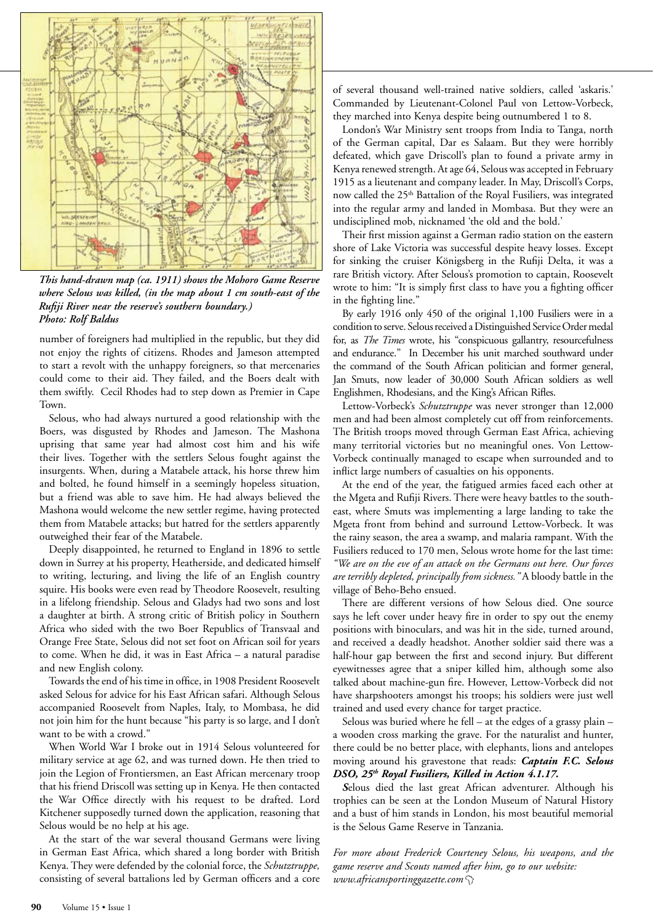

*This hand-drawn map (ca. 1911) shows the Mohoro Game Reserve where Selous was killed, (in the map about 1 cm south-east of the Rufiji River near the reserve's southern boundary.) Photo: Rolf Baldus*

number of foreigners had multiplied in the republic, but they did not enjoy the rights of citizens. Rhodes and Jameson attempted to start a revolt with the unhappy foreigners, so that mercenaries could come to their aid. They failed, and the Boers dealt with them swiftly. Cecil Rhodes had to step down as Premier in Cape Town.

Selous, who had always nurtured a good relationship with the Boers, was disgusted by Rhodes and Jameson. The Mashona uprising that same year had almost cost him and his wife their lives. Together with the settlers Selous fought against the insurgents. When, during a Matabele attack, his horse threw him and bolted, he found himself in a seemingly hopeless situation, but a friend was able to save him. He had always believed the Mashona would welcome the new settler regime, having protected them from Matabele attacks; but hatred for the settlers apparently outweighed their fear of the Matabele.

Deeply disappointed, he returned to England in 1896 to settle down in Surrey at his property, Heatherside, and dedicated himself to writing, lecturing, and living the life of an English country squire. His books were even read by Theodore Roosevelt, resulting in a lifelong friendship. Selous and Gladys had two sons and lost a daughter at birth. A strong critic of British policy in Southern Africa who sided with the two Boer Republics of Transvaal and Orange Free State, Selous did not set foot on African soil for years to come. When he did, it was in East Africa – a natural paradise and new English colony.

Towards the end of his time in office, in 1908 President Roosevelt asked Selous for advice for his East African safari. Although Selous accompanied Roosevelt from Naples, Italy, to Mombasa, he did not join him for the hunt because "his party is so large, and I don't want to be with a crowd."

When World War I broke out in 1914 Selous volunteered for military service at age 62, and was turned down. He then tried to join the Legion of Frontiersmen, an East African mercenary troop that his friend Driscoll was setting up in Kenya. He then contacted the War Office directly with his request to be drafted. Lord Kitchener supposedly turned down the application, reasoning that Selous would be no help at his age.

At the start of the war several thousand Germans were living in German East Africa, which shared a long border with British Kenya. They were defended by the colonial force, the *Schutztruppe,*  consisting of several battalions led by German officers and a core of several thousand well-trained native soldiers, called 'askaris.' Commanded by Lieutenant-Colonel Paul von Lettow-Vorbeck, they marched into Kenya despite being outnumbered 1 to 8.

London's War Ministry sent troops from India to Tanga, north of the German capital, Dar es Salaam. But they were horribly defeated, which gave Driscoll's plan to found a private army in Kenya renewed strength. At age 64, Selous was accepted in February 1915 as a lieutenant and company leader. In May, Driscoll's Corps, now called the 25<sup>th</sup> Battalion of the Royal Fusiliers, was integrated into the regular army and landed in Mombasa. But they were an undisciplined mob, nicknamed 'the old and the bold.'

Their first mission against a German radio station on the eastern shore of Lake Victoria was successful despite heavy losses. Except for sinking the cruiser Königsberg in the Rufiji Delta, it was a rare British victory. After Selous's promotion to captain, Roosevelt wrote to him: "It is simply first class to have you a fighting officer in the fighting line."

By early 1916 only 450 of the original 1,100 Fusiliers were in a condition to serve. Selous received a Distinguished Service Order medal for, as *The Times* wrote, his "conspicuous gallantry, resourcefulness and endurance." In December his unit marched southward under the command of the South African politician and former general, Jan Smuts, now leader of 30,000 South African soldiers as well Englishmen, Rhodesians, and the King's African Rifles.

Lettow-Vorbeck's *Schutztruppe* was never stronger than 12,000 men and had been almost completely cut off from reinforcements. The British troops moved through German East Africa, achieving many territorial victories but no meaningful ones. Von Lettow-Vorbeck continually managed to escape when surrounded and to inflict large numbers of casualties on his opponents.

At the end of the year, the fatigued armies faced each other at the Mgeta and Rufiji Rivers. There were heavy battles to the southeast, where Smuts was implementing a large landing to take the Mgeta front from behind and surround Lettow-Vorbeck. It was the rainy season, the area a swamp, and malaria rampant. With the Fusiliers reduced to 170 men, Selous wrote home for the last time: *"We are on the eve of an attack on the Germans out here. Our forces are terribly depleted, principally from sickness."* A bloody battle in the village of Beho-Beho ensued.

There are different versions of how Selous died. One source says he left cover under heavy fire in order to spy out the enemy positions with binoculars, and was hit in the side, turned around, and received a deadly headshot. Another soldier said there was a half-hour gap between the first and second injury. But different eyewitnesses agree that a sniper killed him, although some also talked about machine-gun fire. However, Lettow-Vorbeck did not have sharpshooters amongst his troops; his soldiers were just well trained and used every chance for target practice.

Selous was buried where he fell – at the edges of a grassy plain – a wooden cross marking the grave. For the naturalist and hunter, there could be no better place, with elephants, lions and antelopes moving around his gravestone that reads: *Captain F.C. Selous DSO, 25th Royal Fusiliers, Killed in Action 4.1.17.* 

*S*elous died the last great African adventurer. Although his trophies can be seen at the London Museum of Natural History and a bust of him stands in London, his most beautiful memorial is the Selous Game Reserve in Tanzania.

*For more about Frederick Courteney Selous, his weapons, and the game reserve and Scouts named after him, go to our website: www.africansportinggazette.com*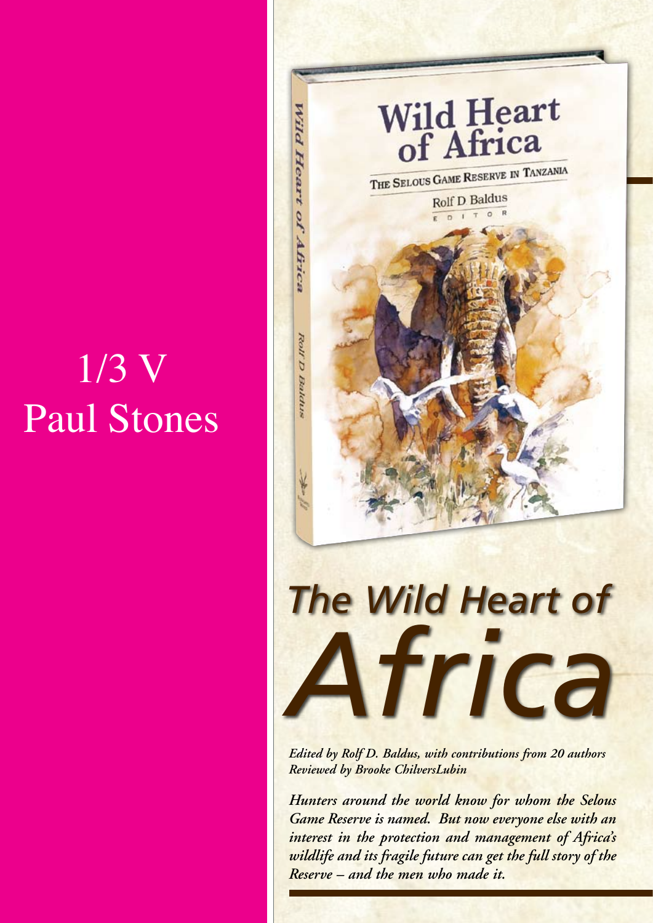## 1/3 V Paul Stones



*Hunters around the world know for whom the Selous Game Reserve is named. But now everyone else with an interest in the protection and management of Africa's wildlife and its fragile future can get the full story of the Reserve – and the men who made it.*